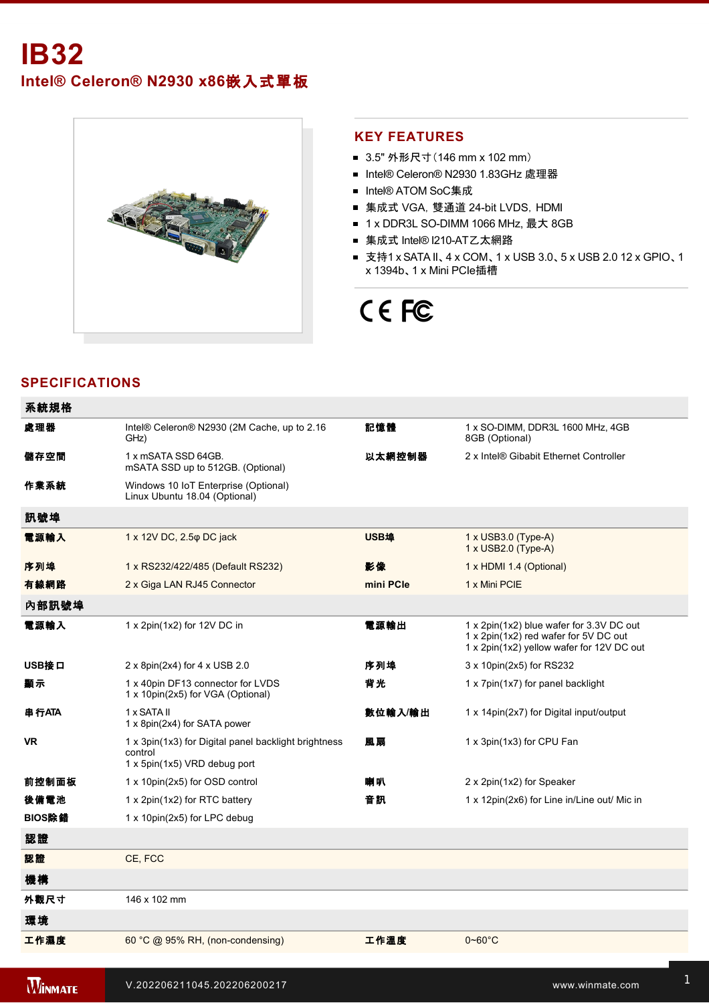

#### **KEY FEATURES**

- 3.5" 外形尺寸 (146 mm x 102 mm)
- Intel® Celeron® N2930 1.83GHz 處理器
- Intel® ATOM SoC集成
- 集成式 VGA, 雙通道 24-bit LVDS, HDMI
- 1 x DDR3L SO-DIMM 1066 MHz, 最大 8GB
- 集成式 Intel® I210-AT乙太網路
- 支持1 x SATA II、4 x COM、1 x USB 3.0、5 x USB 2.0 12 x GPIO、1 x 1394b、1 x Mini PCIe插槽

# CE FC

## **SPECIFICATIONS**

| 系統規格   |                                                                                                 |             |                                                                                                                                |
|--------|-------------------------------------------------------------------------------------------------|-------------|--------------------------------------------------------------------------------------------------------------------------------|
| 處理器    | Intel® Celeron® N2930 (2M Cache, up to 2.16<br>GHz)                                             | 記憶體         | 1 x SO-DIMM, DDR3L 1600 MHz, 4GB<br>8GB (Optional)                                                                             |
| 儲存空間   | 1 x mSATA SSD 64GB.<br>mSATA SSD up to 512GB. (Optional)                                        | 以太網控制器      | 2 x Intel® Gibabit Ethernet Controller                                                                                         |
| 作業系統   | Windows 10 IoT Enterprise (Optional)<br>Linux Ubuntu 18.04 (Optional)                           |             |                                                                                                                                |
| 訊號埠    |                                                                                                 |             |                                                                                                                                |
| 電源輸入   | 1 x 12V DC, 2.5 $\varphi$ DC jack                                                               | <b>USB埠</b> | 1 x USB3.0 (Type-A)<br>1 x USB2.0 (Type-A)                                                                                     |
| 序列埠    | 1 x RS232/422/485 (Default RS232)                                                               | 影像          | 1 x HDMI 1.4 (Optional)                                                                                                        |
| 有線網路   | 2 x Giga LAN RJ45 Connector                                                                     | mini PCIe   | 1 x Mini PCIE                                                                                                                  |
| 內部訊號埠  |                                                                                                 |             |                                                                                                                                |
| 電源輸入   | 1 x 2pin(1x2) for 12V DC in                                                                     | 電源輸出        | 1 x 2pin(1x2) blue wafer for 3.3V DC out<br>1 x 2pin(1x2) red wafer for 5V DC out<br>1 x 2pin(1x2) yellow wafer for 12V DC out |
| USB接口  | $2 \times 8$ pin(2x4) for 4 x USB 2.0                                                           | 序列埠         | 3 x 10pin(2x5) for RS232                                                                                                       |
| 顧示     | 1 x 40pin DF13 connector for LVDS<br>1 x 10pin(2x5) for VGA (Optional)                          | 背光          | 1 x 7pin(1x7) for panel backlight                                                                                              |
| 串行ATA  | 1 x SATA II<br>1 x 8pin(2x4) for SATA power                                                     | 數位輸入/輸出     | 1 x 14pin(2x7) for Digital input/output                                                                                        |
| VR     | 1 x 3pin(1x3) for Digital panel backlight brightness<br>control<br>1 x 5pin(1x5) VRD debug port | 風扇          | 1 x 3pin(1x3) for CPU Fan                                                                                                      |
| 前控制面板  | 1 x 10pin(2x5) for OSD control                                                                  | 喇叭          | 2 x 2pin(1x2) for Speaker                                                                                                      |
| 後備電池   | 1 x 2pin(1x2) for RTC battery                                                                   | 音訊          | 1 x 12pin(2x6) for Line in/Line out/ Mic in                                                                                    |
| BIOS除錯 | 1 x 10pin(2x5) for LPC debug                                                                    |             |                                                                                                                                |
| 認證     |                                                                                                 |             |                                                                                                                                |
| 認證     | CE, FCC                                                                                         |             |                                                                                                                                |
| 機構     |                                                                                                 |             |                                                                                                                                |
| 外觀尺寸   | 146 x 102 mm                                                                                    |             |                                                                                                                                |
| 環境     |                                                                                                 |             |                                                                                                                                |
| 工作濕度   | 60 °C @ 95% RH, (non-condensing)                                                                | 工作溫度        | $0 - 60^{\circ}$ C                                                                                                             |